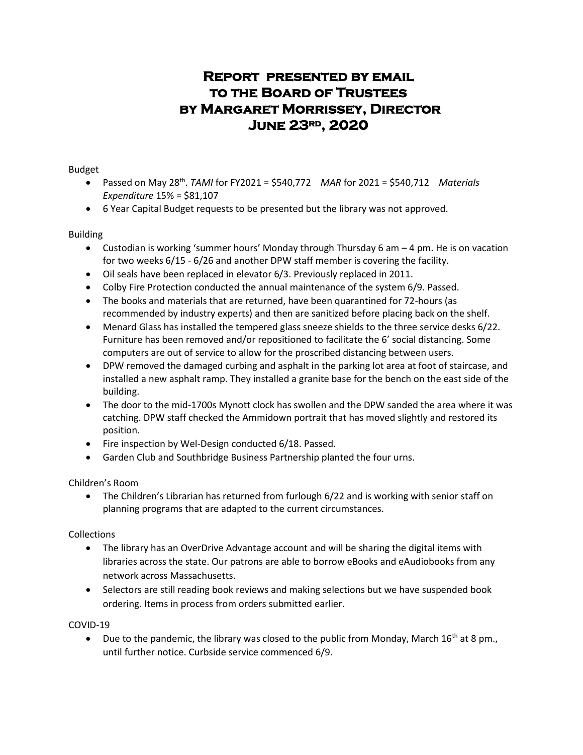# **Report presented by email to the Board of Trustees by Margaret Morrissey, Director June 23rd, 2020**

Budget

- Passed on May 28<sup>th</sup>. TAMI for FY2021 = \$540,772 *MAR* for 2021 = \$540,712 *Materials Expenditure* 15% = \$81,107
- 6 Year Capital Budget requests to be presented but the library was not approved.

Building

- Custodian is working 'summer hours' Monday through Thursday 6 am 4 pm. He is on vacation for two weeks 6/15 - 6/26 and another DPW staff member is covering the facility.
- Oil seals have been replaced in elevator 6/3. Previously replaced in 2011.
- Colby Fire Protection conducted the annual maintenance of the system 6/9. Passed.
- The books and materials that are returned, have been quarantined for 72-hours (as recommended by industry experts) and then are sanitized before placing back on the shelf.
- Menard Glass has installed the tempered glass sneeze shields to the three service desks 6/22. Furniture has been removed and/or repositioned to facilitate the 6' social distancing. Some computers are out of service to allow for the proscribed distancing between users.
- DPW removed the damaged curbing and asphalt in the parking lot area at foot of staircase, and installed a new asphalt ramp. They installed a granite base for the bench on the east side of the building.
- The door to the mid-1700s Mynott clock has swollen and the DPW sanded the area where it was catching. DPW staff checked the Ammidown portrait that has moved slightly and restored its position.
- Fire inspection by Wel-Design conducted 6/18. Passed.
- Garden Club and Southbridge Business Partnership planted the four urns.

Children's Room

 The Children's Librarian has returned from furlough 6/22 and is working with senior staff on planning programs that are adapted to the current circumstances.

Collections

- The library has an OverDrive Advantage account and will be sharing the digital items with libraries across the state. Our patrons are able to borrow eBooks and eAudiobooks from any network across Massachusetts.
- Selectors are still reading book reviews and making selections but we have suspended book ordering. Items in process from orders submitted earlier.

COVID-19

 $\bullet$  Due to the pandemic, the library was closed to the public from Monday, March 16<sup>th</sup> at 8 pm., until further notice. Curbside service commenced 6/9.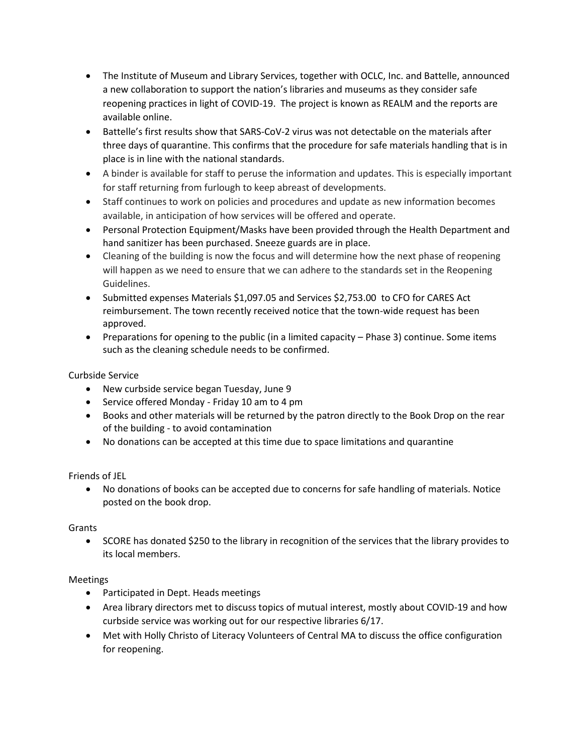- The Institute of Museum and Library Services, together with OCLC, Inc. and Battelle, announced a new collaboration to support the nation's libraries and museums as they consider safe reopening practices in light of COVID-19. The project is known as REALM and the reports are available online.
- Battelle's first results show that SARS-CoV-2 virus was not detectable on the materials after three days of quarantine. This confirms that the procedure for safe materials handling that is in place is in line with the national standards.
- A binder is available for staff to peruse the information and updates. This is especially important for staff returning from furlough to keep abreast of developments.
- Staff continues to work on policies and procedures and update as new information becomes available, in anticipation of how services will be offered and operate.
- Personal Protection Equipment/Masks have been provided through the Health Department and hand sanitizer has been purchased. Sneeze guards are in place.
- Cleaning of the building is now the focus and will determine how the next phase of reopening will happen as we need to ensure that we can adhere to the standards set in the Reopening Guidelines.
- Submitted expenses Materials \$1,097.05 and Services \$2,753.00 to CFO for CARES Act reimbursement. The town recently received notice that the town-wide request has been approved.
- Preparations for opening to the public (in a limited capacity Phase 3) continue. Some items such as the cleaning schedule needs to be confirmed.

## Curbside Service

- New curbside service began Tuesday, June 9
- Service offered Monday Friday 10 am to 4 pm
- Books and other materials will be returned by the patron directly to the Book Drop on the rear of the building - to avoid contamination
- No donations can be accepted at this time due to space limitations and quarantine

Friends of JEL

 No donations of books can be accepted due to concerns for safe handling of materials. Notice posted on the book drop.

#### Grants

• SCORE has donated \$250 to the library in recognition of the services that the library provides to its local members.

#### Meetings

- Participated in Dept. Heads meetings
- Area library directors met to discuss topics of mutual interest, mostly about COVID-19 and how curbside service was working out for our respective libraries 6/17.
- Met with Holly Christo of Literacy Volunteers of Central MA to discuss the office configuration for reopening.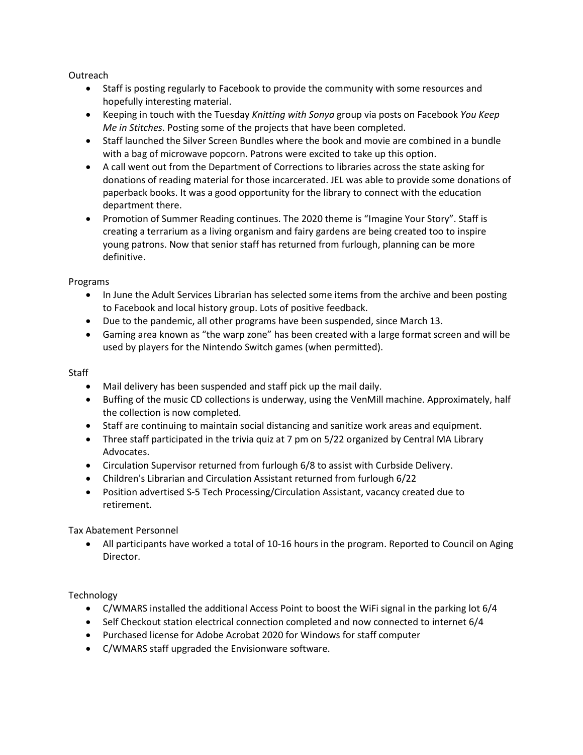**Outreach** 

- Staff is posting regularly to Facebook to provide the community with some resources and hopefully interesting material.
- Keeping in touch with the Tuesday *Knitting with Sonya* group via posts on Facebook *You Keep Me in Stitches*. Posting some of the projects that have been completed.
- Staff launched the Silver Screen Bundles where the book and movie are combined in a bundle with a bag of microwave popcorn. Patrons were excited to take up this option.
- A call went out from the Department of Corrections to libraries across the state asking for donations of reading material for those incarcerated. JEL was able to provide some donations of paperback books. It was a good opportunity for the library to connect with the education department there.
- Promotion of Summer Reading continues. The 2020 theme is "Imagine Your Story". Staff is creating a terrarium as a living organism and fairy gardens are being created too to inspire young patrons. Now that senior staff has returned from furlough, planning can be more definitive.

Programs

- In June the Adult Services Librarian has selected some items from the archive and been posting to Facebook and local history group. Lots of positive feedback.
- Due to the pandemic, all other programs have been suspended, since March 13.
- Gaming area known as "the warp zone" has been created with a large format screen and will be used by players for the Nintendo Switch games (when permitted).

**Staff** 

- Mail delivery has been suspended and staff pick up the mail daily.
- Buffing of the music CD collections is underway, using the VenMill machine. Approximately, half the collection is now completed.
- Staff are continuing to maintain social distancing and sanitize work areas and equipment.
- Three staff participated in the trivia quiz at 7 pm on 5/22 organized by Central MA Library Advocates.
- Circulation Supervisor returned from furlough 6/8 to assist with Curbside Delivery.
- Children's Librarian and Circulation Assistant returned from furlough 6/22
- Position advertised S-5 Tech Processing/Circulation Assistant, vacancy created due to retirement.

Tax Abatement Personnel

 All participants have worked a total of 10-16 hours in the program. Reported to Council on Aging Director.

Technology

- C/WMARS installed the additional Access Point to boost the WiFi signal in the parking lot 6/4
- Self Checkout station electrical connection completed and now connected to internet 6/4
- Purchased license for Adobe Acrobat 2020 for Windows for staff computer
- C/WMARS staff upgraded the Envisionware software.